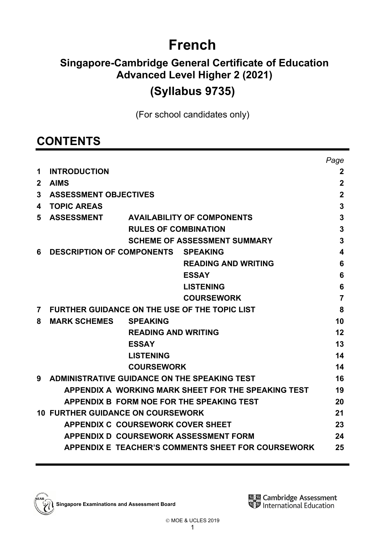# **French**

## **Singapore-Cambridge General Certificate of Education Advanced Level Higher 2 (2021) (Syllabus 9735)**

(For school candidates only)

## **CONTENTS**

|             |                                                      |                                                     | Page           |
|-------------|------------------------------------------------------|-----------------------------------------------------|----------------|
| 1           | <b>INTRODUCTION</b>                                  |                                                     | $\mathbf{2}$   |
| $\mathbf 2$ | <b>AIMS</b>                                          |                                                     | $\mathbf 2$    |
| 3           | <b>ASSESSMENT OBJECTIVES</b>                         |                                                     | $\overline{2}$ |
| 4           | <b>TOPIC AREAS</b>                                   |                                                     | 3              |
| 5           | <b>ASSESSMENT</b>                                    | <b>AVAILABILITY OF COMPONENTS</b>                   | 3              |
|             | <b>RULES OF COMBINATION</b>                          |                                                     | 3              |
|             |                                                      | <b>SCHEME OF ASSESSMENT SUMMARY</b>                 | 3              |
| 6           | <b>DESCRIPTION OF COMPONENTS</b>                     | <b>SPEAKING</b>                                     | 4              |
|             |                                                      | <b>READING AND WRITING</b>                          | 6              |
|             |                                                      | <b>ESSAY</b>                                        | 6              |
|             |                                                      | <b>LISTENING</b>                                    | 6              |
|             |                                                      | <b>COURSEWORK</b>                                   | $\overline{7}$ |
| 7           | <b>FURTHER GUIDANCE ON THE USE OF THE TOPIC LIST</b> |                                                     | 8              |
| 8           | <b>MARK SCHEMES</b><br><b>SPEAKING</b>               |                                                     | 10             |
|             | <b>READING AND WRITING</b>                           |                                                     | 12             |
|             | <b>ESSAY</b>                                         |                                                     | 13             |
|             | <b>LISTENING</b>                                     |                                                     | 14             |
|             | <b>COURSEWORK</b>                                    |                                                     | 14             |
| 9           | ADMINISTRATIVE GUIDANCE ON THE SPEAKING TEST         |                                                     | 16             |
|             |                                                      | APPENDIX A WORKING MARK SHEET FOR THE SPEAKING TEST | 19             |
|             | APPENDIX B FORM NOE FOR THE SPEAKING TEST            |                                                     | 20             |
|             | <b>10 FURTHER GUIDANCE ON COURSEWORK</b>             |                                                     | 21             |
|             | <b>APPENDIX C COURSEWORK COVER SHEET</b>             |                                                     | 23             |
|             | APPENDIX D COURSEWORK ASSESSMENT FORM                |                                                     | 24             |
|             |                                                      | APPENDIX E TEACHER'S COMMENTS SHEET FOR COURSEWORK  | 25             |
|             |                                                      |                                                     |                |

**Singapore Examinations and Assessment Board**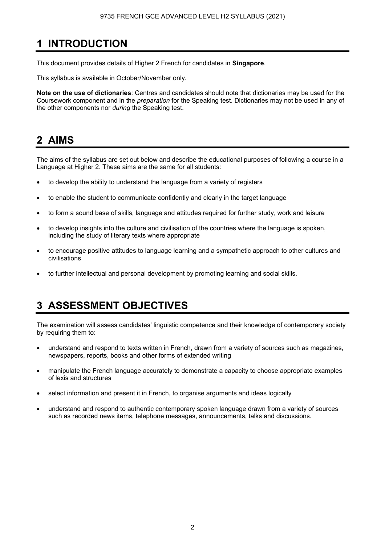## **1 INTRODUCTION**

This document provides details of Higher 2 French for candidates in **Singapore**.

This syllabus is available in October/November only.

**Note on the use of dictionaries**: Centres and candidates should note that dictionaries may be used for the Coursework component and in the *preparation* for the Speaking test. Dictionaries may not be used in any of the other components nor *during* the Speaking test.

## **2 AIMS**

The aims of the syllabus are set out below and describe the educational purposes of following a course in a Language at Higher 2. These aims are the same for all students:

- to develop the ability to understand the language from a variety of registers
- to enable the student to communicate confidently and clearly in the target language
- to form a sound base of skills, language and attitudes required for further study, work and leisure
- to develop insights into the culture and civilisation of the countries where the language is spoken, including the study of literary texts where appropriate
- to encourage positive attitudes to language learning and a sympathetic approach to other cultures and civilisations
- to further intellectual and personal development by promoting learning and social skills.

## **3 ASSESSMENT OBJECTIVES**

The examination will assess candidates' linguistic competence and their knowledge of contemporary society by requiring them to:

- understand and respond to texts written in French, drawn from a variety of sources such as magazines, newspapers, reports, books and other forms of extended writing
- manipulate the French language accurately to demonstrate a capacity to choose appropriate examples of lexis and structures
- select information and present it in French, to organise arguments and ideas logically
- understand and respond to authentic contemporary spoken language drawn from a variety of sources such as recorded news items, telephone messages, announcements, talks and discussions.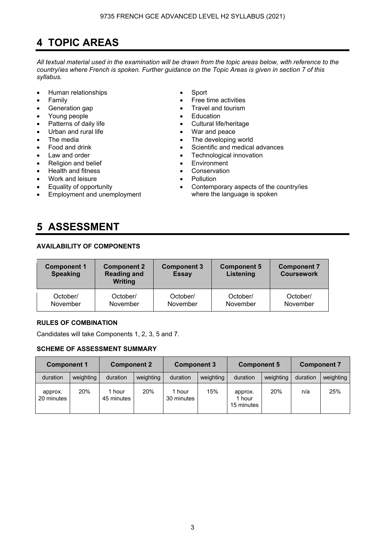## **4 TOPIC AREAS**

*All textual material used in the examination will be drawn from the topic areas below, with reference to the country*/*ies where French is spoken. Further guidance on the Topic Areas is given in section 7 of this syllabus.* 

- Human relationships Sport
- 
- 
- Young people **•** Education
- Patterns of daily life **•** Cultural life/heritage
- Urban and rural life **•** War and peace
- 
- 
- 
- Religion and belief **•** Environment
- Health and fitness **•** Conservation
- Work and leisure Pollution
- Equality of opportunity
- Employment and unemployment

## **5 ASSESSMENT**

## **AVAILABILITY OF COMPONENTS**

| <b>Component 1</b><br><b>Speaking</b> | <b>Component 2</b><br><b>Component 3</b><br><b>Reading and</b><br><b>Essay</b><br><b>Writing</b> |          | <b>Component 5</b><br>Listening | <b>Component 7</b><br><b>Coursework</b> |
|---------------------------------------|--------------------------------------------------------------------------------------------------|----------|---------------------------------|-----------------------------------------|
| October/                              | October/                                                                                         | October/ | October/                        | October/                                |
| November                              | November                                                                                         | November | November                        | November                                |

## **RULES OF COMBINATION**

Candidates will take Components 1, 2, 3, 5 and 7.

## **SCHEME OF ASSESSMENT SUMMARY**

| <b>Component 1</b>    |           |                    | <b>Component 2</b> |                      | <b>Component 3</b> |                                 | <b>Component 5</b> |          | <b>Component 7</b> |  |
|-----------------------|-----------|--------------------|--------------------|----------------------|--------------------|---------------------------------|--------------------|----------|--------------------|--|
| duration              | weighting | duration           | weighting          | duration             | weighting          | duration                        | weighting          | duration | weighting          |  |
| approx.<br>20 minutes | 20%       | hour<br>45 minutes | 20%                | 1 hour<br>30 minutes | 15%                | approx.<br>1 hour<br>15 minutes | 20%                | n/a      | 25%                |  |

- 
- **Family Family Free time activities**
- Generation gap **•** Travel and tourism
	-
	-
	-
	- The media **Figure 1** and the media **Figure 1** and the The developing world
	- Food and drink Scientific and medical advances
- Law and order **•** Technological innovation<br>• Religion and belief **• F**nvironment
	-
	-
	-
	- Contemporary aspects of the country/ies where the language is spoken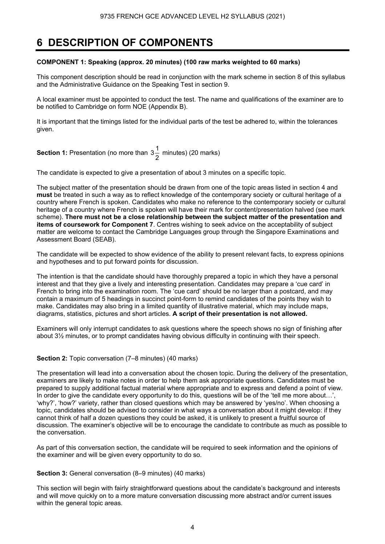## **6 DESCRIPTION OF COMPONENTS**

## **COMPONENT 1: Speaking (approx. 20 minutes) (100 raw marks weighted to 60 marks)**

This component description should be read in conjunction with the mark scheme in section 8 of this syllabus and the Administrative Guidance on the Speaking Test in section 9.

A local examiner must be appointed to conduct the test. The name and qualifications of the examiner are to be notified to Cambridge on form NOE (Appendix B).

It is important that the timings listed for the individual parts of the test be adhered to, within the tolerances given.

**Section 1:** Presentation (no more than  $3\frac{1}{2}$  minutes) (20 marks)

The candidate is expected to give a presentation of about 3 minutes on a specific topic.

The subject matter of the presentation should be drawn from one of the topic areas listed in section 4 and **must** be treated in such a way as to reflect knowledge of the contemporary society or cultural heritage of a country where French is spoken. Candidates who make no reference to the contemporary society or cultural heritage of a country where French is spoken will have their mark for content/presentation halved (see mark scheme). **There must not be a close relationship between the subject matter of the presentation and items of coursework for Component 7**. Centres wishing to seek advice on the acceptability of subject matter are welcome to contact the Cambridge Languages group through the Singapore Examinations and Assessment Board (SEAB).

The candidate will be expected to show evidence of the ability to present relevant facts, to express opinions and hypotheses and to put forward points for discussion.

The intention is that the candidate should have thoroughly prepared a topic in which they have a personal interest and that they give a lively and interesting presentation. Candidates may prepare a 'cue card' in French to bring into the examination room. The 'cue card' should be no larger than a postcard, and may contain a maximum of 5 headings in succinct point-form to remind candidates of the points they wish to make. Candidates may also bring in a limited quantity of illustrative material, which may include maps, diagrams, statistics, pictures and short articles. **A script of their presentation is not allowed.** 

Examiners will only interrupt candidates to ask questions where the speech shows no sign of finishing after about 3½ minutes, or to prompt candidates having obvious difficulty in continuing with their speech.

#### **Section 2:** Topic conversation (7–8 minutes) (40 marks)

The presentation will lead into a conversation about the chosen topic. During the delivery of the presentation, examiners are likely to make notes in order to help them ask appropriate questions. Candidates must be prepared to supply additional factual material where appropriate and to express and defend a point of view. In order to give the candidate every opportunity to do this, questions will be of the 'tell me more about...', 'why?', 'how?' variety, rather than closed questions which may be answered by 'yes/no'. When choosing a topic, candidates should be advised to consider in what ways a conversation about it might develop: if they cannot think of half a dozen questions they could be asked, it is unlikely to present a fruitful source of discussion. The examiner's objective will be to encourage the candidate to contribute as much as possible to the conversation.

As part of this conversation section, the candidate will be required to seek information and the opinions of the examiner and will be given every opportunity to do so.

#### **Section 3:** General conversation (8–9 minutes) (40 marks)

This section will begin with fairly straightforward questions about the candidate's background and interests and will move quickly on to a more mature conversation discussing more abstract and/or current issues within the general topic areas.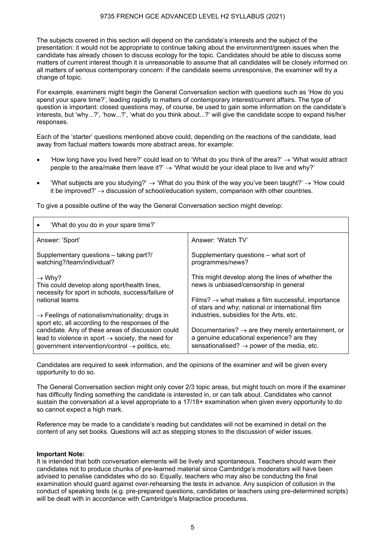The subjects covered in this section will depend on the candidate's interests and the subject of the presentation: it would not be appropriate to continue talking about the environment/green issues when the candidate has already chosen to discuss ecology for the topic. Candidates should be able to discuss some matters of current interest though it is unreasonable to assume that all candidates will be closely informed on all matters of serious contemporary concern: if the candidate seems unresponsive, the examiner will try a change of topic.

For example, examiners might begin the General Conversation section with questions such as 'How do you spend your spare time?', leading rapidly to matters of contemporary interest/current affairs. The type of question is important: closed questions may, of course, be used to gain some information on the candidate's interests, but 'why...?', 'how...?', 'what do you think about...?' will give the candidate scope to expand his/her responses.

Each of the 'starter' questions mentioned above could, depending on the reactions of the candidate, lead away from factual matters towards more abstract areas, for example:

- How long have you lived here?' could lead on to 'What do you think of the area?'  $\rightarrow$  'What would attract people to the area/make them leave it?'  $\rightarrow$  'What would be your ideal place to live and why?'
- 'What subjects are you studying?' → 'What do you think of the way you've been taught?' → 'How could it be improved?'  $\rightarrow$  discussion of school/education system, comparison with other countries.

To give a possible outline of the way the General Conversation section might develop:

| 'What do you do in your spare time?'                                                                                                                                               |                                                                                                                                                                         |
|------------------------------------------------------------------------------------------------------------------------------------------------------------------------------------|-------------------------------------------------------------------------------------------------------------------------------------------------------------------------|
| Answer: 'Sport'                                                                                                                                                                    | Answer: 'Watch TV'                                                                                                                                                      |
| Supplementary questions – taking part?/<br>watching?/team/individual?                                                                                                              | Supplementary questions - what sort of<br>programmes/news?                                                                                                              |
| $\rightarrow$ Why?<br>This could develop along sport/health lines,<br>necessity for sport in schools, success/failure of                                                           | This might develop along the lines of whether the<br>news is unbiased/censorship in general                                                                             |
| national teams                                                                                                                                                                     | Films? $\rightarrow$ what makes a film successful, importance<br>of stars and why; national or international film                                                       |
| $\rightarrow$ Feelings of nationalism/nationality; drugs in<br>sport etc, all according to the responses of the                                                                    | industries, subsidies for the Arts, etc.                                                                                                                                |
| candidate. Any of these areas of discussion could<br>lead to violence in sport $\rightarrow$ society, the need for<br>government intervention/control $\rightarrow$ politics, etc. | Documentaries? $\rightarrow$ are they merely entertainment, or<br>a genuine educational experience? are they<br>sensationalised? $\rightarrow$ power of the media, etc. |

Candidates are required to seek information, and the opinions of the examiner and will be given every opportunity to do so.

The General Conversation section might only cover 2/3 topic areas, but might touch on more if the examiner has difficulty finding something the candidate is interested in, or can talk about. Candidates who cannot sustain the conversation at a level appropriate to a 17/18+ examination when given every opportunity to do so cannot expect a high mark.

Reference may be made to a candidate's reading but candidates will not be examined in detail on the content of any set books. Questions will act as stepping stones to the discussion of wider issues.

#### **Important Note:**

It is intended that both conversation elements will be lively and spontaneous. Teachers should warn their candidates not to produce chunks of pre-learned material since Cambridge's moderators will have been advised to penalise candidates who do so. Equally, teachers who may also be conducting the final examination should guard against over-rehearsing the tests in advance. Any suspicion of collusion in the conduct of speaking tests (e.g. pre-prepared questions, candidates or teachers using pre-determined scripts) will be dealt with in accordance with Cambridge's Malpractice procedures.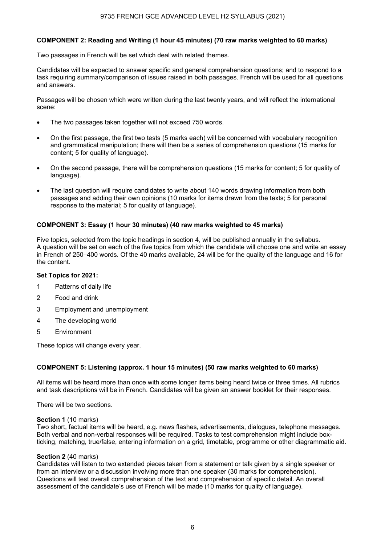## **COMPONENT 2: Reading and Writing (1 hour 45 minutes) (70 raw marks weighted to 60 marks)**

Two passages in French will be set which deal with related themes.

Candidates will be expected to answer specific and general comprehension questions; and to respond to a task requiring summary/comparison of issues raised in both passages. French will be used for all questions and answers.

Passages will be chosen which were written during the last twenty years, and will reflect the international scene:

- The two passages taken together will not exceed 750 words.
- On the first passage, the first two tests (5 marks each) will be concerned with vocabulary recognition and grammatical manipulation; there will then be a series of comprehension questions (15 marks for content; 5 for quality of language).
- On the second passage, there will be comprehension questions (15 marks for content; 5 for quality of language).
- The last question will require candidates to write about 140 words drawing information from both passages and adding their own opinions (10 marks for items drawn from the texts; 5 for personal response to the material; 5 for quality of language).

#### **COMPONENT 3: Essay (1 hour 30 minutes) (40 raw marks weighted to 45 marks)**

Five topics, selected from the topic headings in section 4, will be published annually in the syllabus. A question will be set on each of the five topics from which the candidate will choose one and write an essay in French of 250–400 words. Of the 40 marks available, 24 will be for the quality of the language and 16 for the content.

#### **Set Topics for 2021:**

- 1 Patterns of daily life
- 2 Food and drink
- 3 Employment and unemployment
- 4 The developing world
- 5 Environment

These topics will change every year.

#### **COMPONENT 5: Listening (approx. 1 hour 15 minutes) (50 raw marks weighted to 60 marks)**

All items will be heard more than once with some longer items being heard twice or three times. All rubrics and task descriptions will be in French. Candidates will be given an answer booklet for their responses.

There will be two sections.

#### **Section 1** (10 marks)

Two short, factual items will be heard, e.g. news flashes, advertisements, dialogues, telephone messages. Both verbal and non-verbal responses will be required. Tasks to test comprehension might include boxticking, matching, true/false, entering information on a grid, timetable, programme or other diagrammatic aid.

#### **Section 2** (40 marks)

Candidates will listen to two extended pieces taken from a statement or talk given by a single speaker or from an interview or a discussion involving more than one speaker (30 marks for comprehension). Questions will test overall comprehension of the text and comprehension of specific detail. An overall assessment of the candidate's use of French will be made (10 marks for quality of language).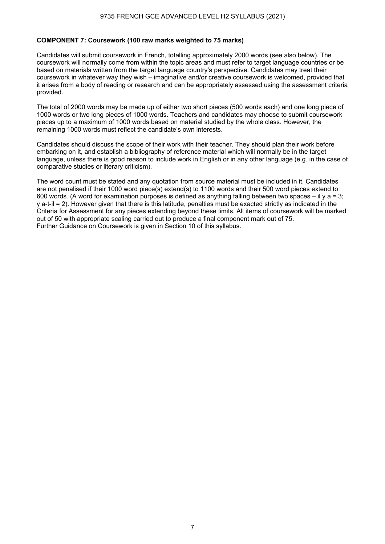### **COMPONENT 7: Coursework (100 raw marks weighted to 75 marks)**

Candidates will submit coursework in French, totalling approximately 2000 words (see also below). The coursework will normally come from within the topic areas and must refer to target language countries or be based on materials written from the target language country's perspective. Candidates may treat their coursework in whatever way they wish – imaginative and/or creative coursework is welcomed, provided that it arises from a body of reading or research and can be appropriately assessed using the assessment criteria provided.

The total of 2000 words may be made up of either two short pieces (500 words each) and one long piece of 1000 words or two long pieces of 1000 words. Teachers and candidates may choose to submit coursework pieces up to a maximum of 1000 words based on material studied by the whole class. However, the remaining 1000 words must reflect the candidate's own interests.

Candidates should discuss the scope of their work with their teacher. They should plan their work before embarking on it, and establish a bibliography of reference material which will normally be in the target language, unless there is good reason to include work in English or in any other language (e.g. in the case of comparative studies or literary criticism).

The word count must be stated and any quotation from source material must be included in it. Candidates are not penalised if their 1000 word piece(s) extend(s) to 1100 words and their 500 word pieces extend to 600 words. (A word for examination purposes is defined as anything falling between two spaces – il y a = 3; y a-t-il = 2). However given that there is this latitude, penalties must be exacted strictly as indicated in the Criteria for Assessment for any pieces extending beyond these limits. All items of coursework will be marked out of 50 with appropriate scaling carried out to produce a final component mark out of 75. Further Guidance on Coursework is given in Section 10 of this syllabus.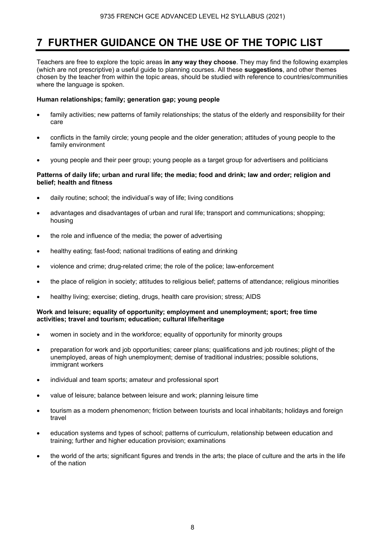## **7 FURTHER GUIDANCE ON THE USE OF THE TOPIC LIST**

Teachers are free to explore the topic areas **in any way they choose**. They may find the following examples (which are not prescriptive) a useful guide to planning courses. All these **suggestions**, and other themes chosen by the teacher from within the topic areas, should be studied with reference to countries/communities where the language is spoken.

## **Human relationships; family; generation gap; young people**

- family activities; new patterns of family relationships; the status of the elderly and responsibility for their care
- conflicts in the family circle; young people and the older generation; attitudes of young people to the family environment
- young people and their peer group; young people as a target group for advertisers and politicians

## **Patterns of daily life; urban and rural life; the media; food and drink; law and order; religion and belief; health and fitness**

- daily routine; school; the individual's way of life; living conditions
- advantages and disadvantages of urban and rural life; transport and communications; shopping; housing
- the role and influence of the media; the power of advertising
- healthy eating; fast-food; national traditions of eating and drinking
- violence and crime; drug-related crime; the role of the police; law-enforcement
- the place of religion in society; attitudes to religious belief; patterns of attendance; religious minorities
- healthy living; exercise; dieting, drugs, health care provision; stress; AIDS

#### **Work and leisure; equality of opportunity; employment and unemployment; sport; free time activities; travel and tourism; education; cultural life/heritage**

- women in society and in the workforce; equality of opportunity for minority groups
- preparation for work and job opportunities; career plans; qualifications and job routines; plight of the unemployed, areas of high unemployment; demise of traditional industries; possible solutions, immigrant workers
- individual and team sports; amateur and professional sport
- value of leisure; balance between leisure and work; planning leisure time
- tourism as a modern phenomenon; friction between tourists and local inhabitants; holidays and foreign travel
- education systems and types of school; patterns of curriculum, relationship between education and training; further and higher education provision; examinations
- the world of the arts; significant figures and trends in the arts; the place of culture and the arts in the life of the nation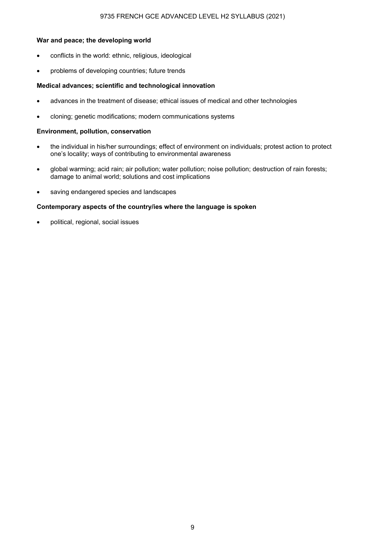### 9735 FRENCH GCE ADVANCED LEVEL H2 SYLLABUS (2021)

#### **War and peace; the developing world**

- conflicts in the world: ethnic, religious, ideological
- problems of developing countries; future trends

### **Medical advances; scientific and technological innovation**

- advances in the treatment of disease; ethical issues of medical and other technologies
- cloning; genetic modifications; modern communications systems

#### **Environment, pollution, conservation**

- the individual in his/her surroundings; effect of environment on individuals; protest action to protect one's locality; ways of contributing to environmental awareness
- global warming; acid rain; air pollution; water pollution; noise pollution; destruction of rain forests; damage to animal world; solutions and cost implications
- saving endangered species and landscapes

#### **Contemporary aspects of the country/ies where the language is spoken**

• political, regional, social issues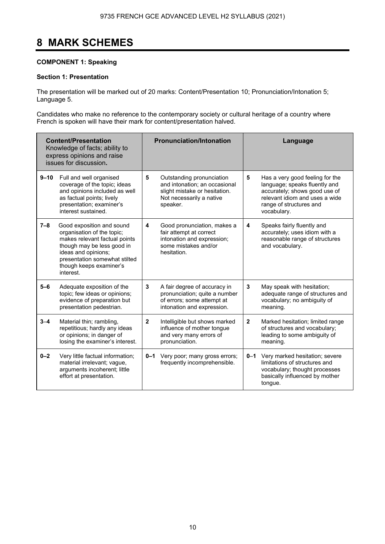## **8 MARK SCHEMES**

## **COMPONENT 1: Speaking**

## **Section 1: Presentation**

The presentation will be marked out of 20 marks: Content/Presentation 10; Pronunciation/Intonation 5; Language 5.

Candidates who make no reference to the contemporary society or cultural heritage of a country where French is spoken will have their mark for content/presentation halved.

|          | <b>Content/Presentation</b><br>Knowledge of facts; ability to<br>express opinions and raise<br>issues for discussion.                                                                                                  |              | <b>Pronunciation/Intonation</b>                                                                                                     |              | Language                                                                                                                                                                      |
|----------|------------------------------------------------------------------------------------------------------------------------------------------------------------------------------------------------------------------------|--------------|-------------------------------------------------------------------------------------------------------------------------------------|--------------|-------------------------------------------------------------------------------------------------------------------------------------------------------------------------------|
| $9 - 10$ | Full and well organised<br>coverage of the topic; ideas<br>and opinions included as well<br>as factual points; lively<br>presentation; examiner's<br>interest sustained.                                               | 5            | Outstanding pronunciation<br>and intonation; an occasional<br>slight mistake or hesitation.<br>Not necessarily a native<br>speaker. | 5            | Has a very good feeling for the<br>language; speaks fluently and<br>accurately; shows good use of<br>relevant idiom and uses a wide<br>range of structures and<br>vocabulary. |
| $7 - 8$  | Good exposition and sound<br>organisation of the topic;<br>makes relevant factual points<br>though may be less good in<br>ideas and opinions;<br>presentation somewhat stilted<br>though keeps examiner's<br>interest. | 4            | Good pronunciation, makes a<br>fair attempt at correct<br>intonation and expression;<br>some mistakes and/or<br>hesitation.         | 4            | Speaks fairly fluently and<br>accurately; uses idiom with a<br>reasonable range of structures<br>and vocabulary.                                                              |
| $5-6$    | Adequate exposition of the<br>topic; few ideas or opinions;<br>evidence of preparation but<br>presentation pedestrian.                                                                                                 | 3            | A fair degree of accuracy in<br>pronunciation; quite a number<br>of errors; some attempt at<br>intonation and expression.           | 3            | May speak with hesitation;<br>adequate range of structures and<br>vocabulary; no ambiguity of<br>meaning.                                                                     |
| $3 - 4$  | Material thin; rambling,<br>repetitious; hardly any ideas<br>or opinions; in danger of<br>losing the examiner's interest.                                                                                              | $\mathbf{2}$ | Intelligible but shows marked<br>influence of mother tongue<br>and very many errors of<br>pronunciation.                            | $\mathbf{2}$ | Marked hesitation; limited range<br>of structures and vocabulary;<br>leading to some ambiguity of<br>meaning.                                                                 |
| $0 - 2$  | Very little factual information;<br>material irrelevant; vague,<br>arguments incoherent; little<br>effort at presentation.                                                                                             | 0–1          | Very poor; many gross errors;<br>frequently incomprehensible.                                                                       | $0 - 1$      | Very marked hesitation; severe<br>limitations of structures and<br>vocabulary; thought processes<br>basically influenced by mother<br>tongue.                                 |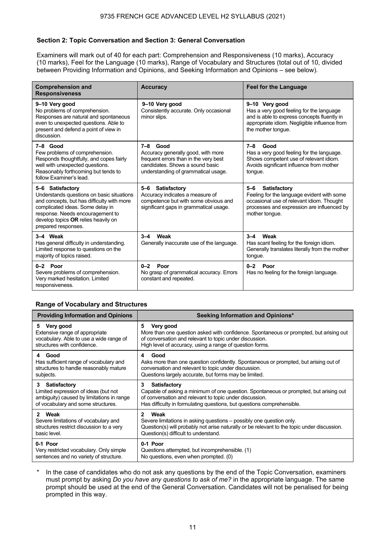## **Section 2: Topic Conversation and Section 3: General Conversation**

Examiners will mark out of 40 for each part: Comprehension and Responsiveness (10 marks), Accuracy (10 marks), Feel for the Language (10 marks), Range of Vocabulary and Structures (total out of 10, divided between Providing Information and Opinions, and Seeking Information and Opinions – see below).

| <b>Comprehension and</b><br><b>Responsiveness</b>                                                                                                                                                                                                 | <b>Accuracy</b>                                                                                                                                                          | <b>Feel for the Language</b>                                                                                                                                                              |
|---------------------------------------------------------------------------------------------------------------------------------------------------------------------------------------------------------------------------------------------------|--------------------------------------------------------------------------------------------------------------------------------------------------------------------------|-------------------------------------------------------------------------------------------------------------------------------------------------------------------------------------------|
| 9-10 Very good<br>No problems of comprehension.<br>Responses are natural and spontaneous<br>even to unexpected questions. Able to<br>present and defend a point of view in<br>discussion.                                                         | 9-10 Very good<br>Consistently accurate. Only occasional<br>minor slips.                                                                                                 | 9-10 Very good<br>Has a very good feeling for the language<br>and is able to express concepts fluently in<br>appropriate idiom. Negligible influence from<br>the mother tonque.           |
| 7-8 Good<br>Few problems of comprehension.<br>Responds thoughtfully, and copes fairly<br>well with unexpected questions.<br>Reasonably forthcoming but tends to<br>follow Examiner's lead.                                                        | $7 - 8$<br>Good<br>Accuracy generally good, with more<br>frequent errors than in the very best<br>candidates. Shows a sound basic<br>understanding of grammatical usage. | $7 - 8$<br>Good<br>Has a very good feeling for the language.<br>Shows competent use of relevant idiom.<br>Avoids significant influence from mother<br>tongue.                             |
| 5-6 Satisfactory<br>Understands questions on basic situations<br>and concepts, but has difficulty with more<br>complicated ideas. Some delay in<br>response. Needs encouragement to<br>develop topics OR relies heavily on<br>prepared responses. | <b>Satisfactory</b><br>5-6<br>Accuracy indicates a measure of<br>competence but with some obvious and<br>significant gaps in grammatical usage.                          | $5 - 6$<br><b>Satisfactory</b><br>Feeling for the language evident with some<br>occasional use of relevant idiom. Thought<br>processes and expression are influenced by<br>mother tonque. |
| 3-4 Weak<br>Has general difficulty in understanding.<br>Limited response to questions on the<br>majority of topics raised.                                                                                                                        | Weak<br>$3 - 4$<br>Generally inaccurate use of the language.                                                                                                             | Weak<br>$3 - 4$<br>Has scant feeling for the foreign idiom.<br>Generally translates literally from the mother<br>tongue.                                                                  |
| 0-2 Poor<br>Severe problems of comprehension.<br>Very marked hesitation. Limited<br>responsiveness.                                                                                                                                               | $0 - 2$<br>Poor<br>No grasp of grammatical accuracy. Errors<br>constant and repeated.                                                                                    | $0 - 2$<br>Poor<br>Has no feeling for the foreign language.                                                                                                                               |

## **Range of Vocabulary and Structures**

| <b>Providing Information and Opinions</b>                                                                                                 | Seeking Information and Opinions*                                                                                                                                                                                                               |
|-------------------------------------------------------------------------------------------------------------------------------------------|-------------------------------------------------------------------------------------------------------------------------------------------------------------------------------------------------------------------------------------------------|
| 5 Very good<br>Extensive range of appropriate<br>vocabulary. Able to use a wide range of<br>structures with confidence.                   | 5<br>Very good<br>More than one question asked with confidence. Spontaneous or prompted, but arising out<br>of conversation and relevant to topic under discussion.<br>High level of accuracy, using a range of question forms.                 |
| 4 Good<br>Has sufficient range of vocabulary and<br>structures to handle reasonably mature<br>subjects.                                   | Good<br>4<br>Asks more than one question confidently. Spontaneous or prompted, but arising out of<br>conversation and relevant to topic under discussion.<br>Questions largely accurate, but forms may be limited.                              |
| 3 Satisfactory<br>Limited expression of ideas (but not<br>ambiguity) caused by limitations in range<br>of vocabulary and some structures. | 3<br>Satisfactory<br>Capable of asking a minimum of one question. Spontaneous or prompted, but arising out<br>of conversation and relevant to topic under discussion.<br>Has difficulty in formulating questions, but questions comprehensible. |
| 2 Weak<br>Severe limitations of vocabulary and<br>structures restrict discussion to a very<br>basic level.                                | Weak<br>2<br>Severe limitations in asking questions – possibly one question only.<br>Question(s) will probably not arise naturally or be relevant to the topic under discussion.<br>Question(s) difficult to understand.                        |
| 0-1 Poor<br>Very restricted vocabulary. Only simple<br>sentences and no variety of structure.                                             | 0-1 Poor<br>Questions attempted, but incomprehensible. (1)<br>No questions, even when prompted. (0)                                                                                                                                             |

In the case of candidates who do not ask any questions by the end of the Topic Conversation, examiners must prompt by asking *Do you have any questions to ask of me?* in the appropriate language. The same prompt should be used at the end of the General Conversation. Candidates will not be penalised for being prompted in this way.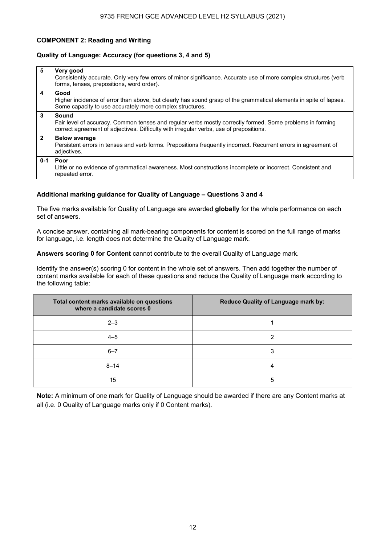## **COMPONENT 2: Reading and Writing**

### **Quality of Language: Accuracy (for questions 3, 4 and 5)**

| 5            | Very good<br>Consistently accurate. Only very few errors of minor significance. Accurate use of more complex structures (verb<br>forms, tenses, prepositions, word order).                                   |
|--------------|--------------------------------------------------------------------------------------------------------------------------------------------------------------------------------------------------------------|
| 4            | Good<br>Higher incidence of error than above, but clearly has sound grasp of the grammatical elements in spite of lapses.<br>Some capacity to use accurately more complex structures.                        |
| 3            | Sound<br>Fair level of accuracy. Common tenses and regular verbs mostly correctly formed. Some problems in forming<br>correct agreement of adjectives. Difficulty with irregular verbs, use of prepositions. |
| $\mathbf{2}$ | <b>Below average</b><br>Persistent errors in tenses and verb forms. Prepositions frequently incorrect. Recurrent errors in agreement of<br>adjectives.                                                       |
| $0 - 1$      | Poor<br>Little or no evidence of grammatical awareness. Most constructions incomplete or incorrect. Consistent and<br>repeated error.                                                                        |

## **Additional marking guidance for Quality of Language – Questions 3 and 4**

The five marks available for Quality of Language are awarded **globally** for the whole performance on each set of answers.

A concise answer, containing all mark-bearing components for content is scored on the full range of marks for language, i.e. length does not determine the Quality of Language mark.

**Answers scoring 0 for Content** cannot contribute to the overall Quality of Language mark.

Identify the answer(s) scoring 0 for content in the whole set of answers. Then add together the number of content marks available for each of these questions and reduce the Quality of Language mark according to the following table:

| Total content marks available on questions<br>where a candidate scores 0 | Reduce Quality of Language mark by: |
|--------------------------------------------------------------------------|-------------------------------------|
| $2 - 3$                                                                  |                                     |
| $4 - 5$                                                                  | ◠                                   |
| $6 - 7$                                                                  | 3                                   |
| $8 - 14$                                                                 | 4                                   |
| 15                                                                       | 5                                   |

**Note:** A minimum of one mark for Quality of Language should be awarded if there are any Content marks at all (i.e. 0 Quality of Language marks only if 0 Content marks).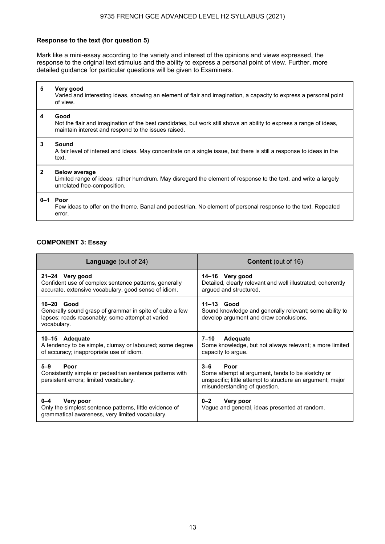## **Response to the text (for question 5)**

Mark like a mini-essay according to the variety and interest of the opinions and views expressed, the response to the original text stimulus and the ability to express a personal point of view. Further, more detailed guidance for particular questions will be given to Examiners.

| 5              | Very good<br>Varied and interesting ideas, showing an element of flair and imagination, a capacity to express a personal point<br>of view.                                        |
|----------------|-----------------------------------------------------------------------------------------------------------------------------------------------------------------------------------|
| 4              | Good<br>Not the flair and imagination of the best candidates, but work still shows an ability to express a range of ideas,<br>maintain interest and respond to the issues raised. |
| 3              | Sound<br>A fair level of interest and ideas. May concentrate on a single issue, but there is still a response to ideas in the<br>text.                                            |
| $\overline{2}$ | <b>Below average</b><br>Limited range of ideas; rather humdrum. May disregard the element of response to the text, and write a largely<br>unrelated free-composition.             |
|                | 0-1 Poor<br>Few ideas to offer on the theme. Banal and pedestrian. No element of personal response to the text. Repeated<br>error.                                                |

### **COMPONENT 3: Essay**

| <b>Language</b> (out of 24)                                                                                                                 | <b>Content</b> (out of 16)                                                                                                                                         |
|---------------------------------------------------------------------------------------------------------------------------------------------|--------------------------------------------------------------------------------------------------------------------------------------------------------------------|
| 21-24 Very good<br>Confident use of complex sentence patterns, generally<br>accurate, extensive vocabulary, good sense of idiom.            | 14-16 Very good<br>Detailed, clearly relevant and well illustrated; coherently<br>argued and structured.                                                           |
| $16-20$ Good<br>Generally sound grasp of grammar in spite of quite a few<br>lapses; reads reasonably; some attempt at varied<br>vocabulary. | $11-13$ Good<br>Sound knowledge and generally relevant; some ability to<br>develop argument and draw conclusions.                                                  |
| 10-15 Adequate<br>A tendency to be simple, clumsy or laboured; some degree<br>of accuracy; inappropriate use of idiom.                      | 7–10<br><b>Adequate</b><br>Some knowledge, but not always relevant; a more limited<br>capacity to argue.                                                           |
| $5 - 9$<br>Poor<br>Consistently simple or pedestrian sentence patterns with<br>persistent errors; limited vocabulary.                       | $3 - 6$<br>Poor<br>Some attempt at argument, tends to be sketchy or<br>unspecific; little attempt to structure an argument; major<br>misunderstanding of question. |
| $0 - 4$<br>Very poor<br>Only the simplest sentence patterns, little evidence of<br>grammatical awareness, very limited vocabulary.          | $0 - 2$<br>Very poor<br>Vague and general, ideas presented at random.                                                                                              |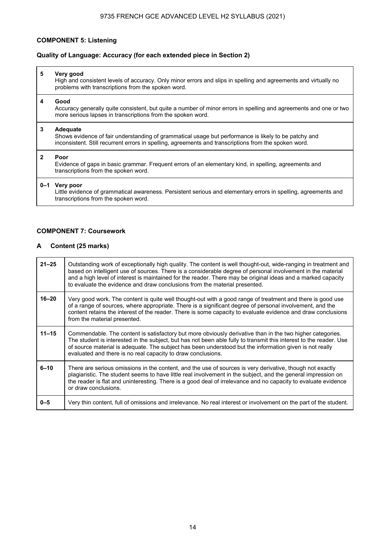## **COMPONENT 5: Listening**

## **Quality of Language: Accuracy (for each extended piece in Section 2)**

| 5 | Very good<br>High and consistent levels of accuracy. Only minor errors and slips in spelling and agreements and virtually no<br>problems with transcriptions from the spoken word.                                        |
|---|---------------------------------------------------------------------------------------------------------------------------------------------------------------------------------------------------------------------------|
| 4 | Good<br>Accuracy generally quite consistent, but quite a number of minor errors in spelling and agreements and one or two<br>more serious lapses in transcriptions from the spoken word.                                  |
| 3 | Adequate<br>Shows evidence of fair understanding of grammatical usage but performance is likely to be patchy and<br>inconsistent. Still recurrent errors in spelling, agreements and transcriptions from the spoken word. |
| 2 | Poor<br>Evidence of gaps in basic grammar. Frequent errors of an elementary kind, in spelling, agreements and<br>transcriptions from the spoken word.                                                                     |
|   | 0-1 Very poor<br>Little evidence of grammatical awareness. Persistent serious and elementary errors in spelling, agreements and<br>transcriptions from the spoken word.                                                   |

## **COMPONENT 7: Coursework**

## **A Content (25 marks)**

| $21 - 25$ | Outstanding work of exceptionally high quality. The content is well thought-out, wide-ranging in treatment and<br>based on intelligent use of sources. There is a considerable degree of personal involvement in the material<br>and a high level of interest is maintained for the reader. There may be original ideas and a marked capacity<br>to evaluate the evidence and draw conclusions from the material presented. |
|-----------|-----------------------------------------------------------------------------------------------------------------------------------------------------------------------------------------------------------------------------------------------------------------------------------------------------------------------------------------------------------------------------------------------------------------------------|
| $16 - 20$ | Very good work. The content is quite well thought-out with a good range of treatment and there is good use<br>of a range of sources, where appropriate. There is a significant degree of personal involvement, and the<br>content retains the interest of the reader. There is some capacity to evaluate evidence and draw conclusions<br>from the material presented.                                                      |
| $11 - 15$ | Commendable. The content is satisfactory but more obviously derivative than in the two higher categories.<br>The student is interested in the subject, but has not been able fully to transmit this interest to the reader. Use<br>of source material is adequate. The subject has been understood but the information given is not really<br>evaluated and there is no real capacity to draw conclusions.                  |
| $6 - 10$  | There are serious omissions in the content, and the use of sources is very derivative, though not exactly<br>plagiaristic. The student seems to have little real involvement in the subject, and the general impression on<br>the reader is flat and uninteresting. There is a good deal of irrelevance and no capacity to evaluate evidence<br>or draw conclusions.                                                        |
| $0 - 5$   | Very thin content, full of omissions and irrelevance. No real interest or involvement on the part of the student.                                                                                                                                                                                                                                                                                                           |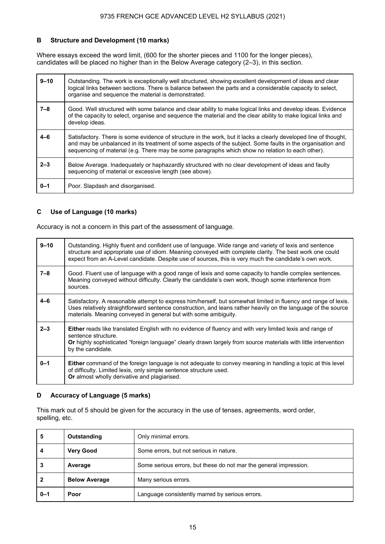## **B Structure and Development (10 marks)**

Where essays exceed the word limit, (600 for the shorter pieces and 1100 for the longer pieces), candidates will be placed no higher than in the Below Average category (2–3), in this section.

| $9 - 10$ | Outstanding. The work is exceptionally well structured, showing excellent development of ideas and clear<br>logical links between sections. There is balance between the parts and a considerable capacity to select,<br>organise and sequence the material is demonstrated.                                                       |
|----------|------------------------------------------------------------------------------------------------------------------------------------------------------------------------------------------------------------------------------------------------------------------------------------------------------------------------------------|
| $7 - 8$  | Good. Well structured with some balance and clear ability to make logical links and develop ideas. Evidence<br>of the capacity to select, organise and sequence the material and the clear ability to make logical links and<br>develop ideas.                                                                                     |
| $4 - 6$  | Satisfactory. There is some evidence of structure in the work, but it lacks a clearly developed line of thought,<br>and may be unbalanced in its treatment of some aspects of the subject. Some faults in the organisation and<br>sequencing of material (e.g. There may be some paragraphs which show no relation to each other). |
| $2 - 3$  | Below Average. Inadeguately or haphazardly structured with no clear development of ideas and faulty<br>sequencing of material or excessive length (see above).                                                                                                                                                                     |
| $0 - 1$  | Poor. Slapdash and disorganised.                                                                                                                                                                                                                                                                                                   |

## **C Use of Language (10 marks)**

Accuracy is not a concern in this part of the assessment of language.

| $9 - 10$ | Outstanding. Highly fluent and confident use of language. Wide range and variety of lexis and sentence<br>structure and appropriate use of idiom. Meaning conveyed with complete clarity. The best work one could<br>expect from an A-Level candidate. Despite use of sources, this is very much the candidate's own work. |
|----------|----------------------------------------------------------------------------------------------------------------------------------------------------------------------------------------------------------------------------------------------------------------------------------------------------------------------------|
| $7 - 8$  | Good. Fluent use of language with a good range of lexis and some capacity to handle complex sentences.<br>Meaning conveyed without difficulty. Clearly the candidate's own work, though some interference from<br>sources.                                                                                                 |
| $4 - 6$  | Satisfactory. A reasonable attempt to express him/herself, but somewhat limited in fluency and range of lexis.<br>Uses relatively straightforward sentence construction, and leans rather heavily on the language of the source<br>materials. Meaning conveyed in general but with some ambiguity.                         |
| $2 - 3$  | <b>Either</b> reads like translated English with no evidence of fluency and with very limited lexis and range of<br>sentence structure.<br>Or highly sophisticated "foreign language" clearly drawn largely from source materials with little intervention<br>by the candidate.                                            |
| $0 - 1$  | <b>Either</b> command of the foreign language is not adequate to convey meaning in handling a topic at this level<br>of difficulty. Limited lexis, only simple sentence structure used.<br>Or almost wholly derivative and plagiarised.                                                                                    |

## **D Accuracy of Language (5 marks)**

This mark out of 5 should be given for the accuracy in the use of tenses, agreements, word order, spelling, etc.

| 5       | Outstanding          | Only minimal errors.                                              |
|---------|----------------------|-------------------------------------------------------------------|
| Δ       | <b>Very Good</b>     | Some errors, but not serious in nature.                           |
|         | Average              | Some serious errors, but these do not mar the general impression. |
|         | <b>Below Average</b> | Many serious errors.                                              |
| $0 - 1$ | Poor                 | Language consistently marred by serious errors.                   |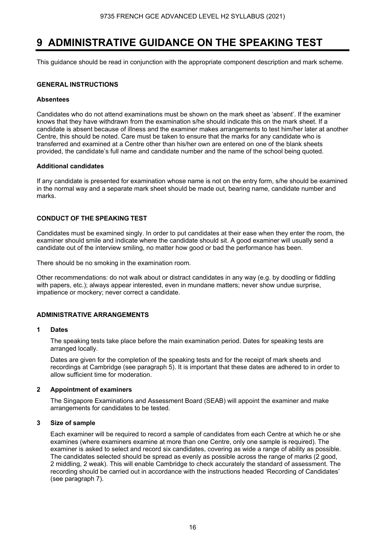## **9 ADMINISTRATIVE GUIDANCE ON THE SPEAKING TEST**

This guidance should be read in conjunction with the appropriate component description and mark scheme.

### **GENERAL INSTRUCTIONS**

#### **Absentees**

Candidates who do not attend examinations must be shown on the mark sheet as 'absent'. If the examiner knows that they have withdrawn from the examination s/he should indicate this on the mark sheet. If a candidate is absent because of illness and the examiner makes arrangements to test him/her later at another Centre, this should be noted. Care must be taken to ensure that the marks for any candidate who is transferred and examined at a Centre other than his/her own are entered on one of the blank sheets provided, the candidate's full name and candidate number and the name of the school being quoted.

#### **Additional candidates**

If any candidate is presented for examination whose name is not on the entry form, s/he should be examined in the normal way and a separate mark sheet should be made out, bearing name, candidate number and marks.

## **CONDUCT OF THE SPEAKING TEST**

Candidates must be examined singly. In order to put candidates at their ease when they enter the room, the examiner should smile and indicate where the candidate should sit. A good examiner will usually send a candidate out of the interview smiling, no matter how good or bad the performance has been.

There should be no smoking in the examination room.

Other recommendations: do not walk about or distract candidates in any way (e.g. by doodling or fiddling with papers, etc.); always appear interested, even in mundane matters; never show undue surprise, impatience or mockery; never correct a candidate.

## **ADMINISTRATIVE ARRANGEMENTS**

### **1 Dates**

 The speaking tests take place before the main examination period. Dates for speaking tests are arranged locally.

 Dates are given for the completion of the speaking tests and for the receipt of mark sheets and recordings at Cambridge (see paragraph 5). It is important that these dates are adhered to in order to allow sufficient time for moderation.

## **2 Appointment of examiners**

 The Singapore Examinations and Assessment Board (SEAB) will appoint the examiner and make arrangements for candidates to be tested.

## **3 Size of sample**

 Each examiner will be required to record a sample of candidates from each Centre at which he or she examines (where examiners examine at more than one Centre, only one sample is required). The examiner is asked to select and record six candidates, covering as wide a range of ability as possible. The candidates selected should be spread as evenly as possible across the range of marks (2 good, 2 middling, 2 weak). This will enable Cambridge to check accurately the standard of assessment. The recording should be carried out in accordance with the instructions headed 'Recording of Candidates' (see paragraph 7).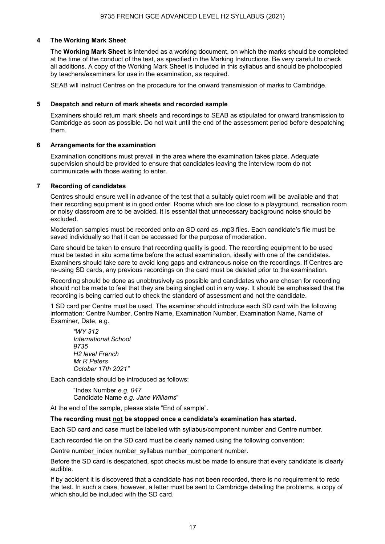## **4 The Working Mark Sheet**

The **Working Mark Sheet** is intended as a working document, on which the marks should be completed at the time of the conduct of the test, as specified in the Marking Instructions. Be very careful to check all additions. A copy of the Working Mark Sheet is included in this syllabus and should be photocopied by teachers/examiners for use in the examination, as required.

SEAB will instruct Centres on the procedure for the onward transmission of marks to Cambridge.

#### **5 Despatch and return of mark sheets and recorded sample**

 Examiners should return mark sheets and recordings to SEAB as stipulated for onward transmission to Cambridge as soon as possible. Do not wait until the end of the assessment period before despatching them.

#### **6 Arrangements for the examination**

Examination conditions must prevail in the area where the examination takes place. Adequate supervision should be provided to ensure that candidates leaving the interview room do not communicate with those waiting to enter.

#### **7 Recording of candidates**

 Centres should ensure well in advance of the test that a suitably quiet room will be available and that their recording equipment is in good order. Rooms which are too close to a playground, recreation room or noisy classroom are to be avoided. It is essential that unnecessary background noise should be excluded.

 Moderation samples must be recorded onto an SD card as .mp3 files. Each candidate's file must be saved individually so that it can be accessed for the purpose of moderation.

 Care should be taken to ensure that recording quality is good. The recording equipment to be used must be tested in situ some time before the actual examination, ideally with one of the candidates. Examiners should take care to avoid long gaps and extraneous noise on the recordings. If Centres are re-using SD cards, any previous recordings on the card must be deleted prior to the examination.

 Recording should be done as unobtrusively as possible and candidates who are chosen for recording should not be made to feel that they are being singled out in any way. It should be emphasised that the recording is being carried out to check the standard of assessment and not the candidate.

 1 SD card per Centre must be used. The examiner should introduce each SD card with the following information: Centre Number, Centre Name, Examination Number, Examination Name, Name of Examiner, Date, e.g.

*"WY 312 International School 9735 H2 level French Mr R Peters October 17th 2021"*

Each candidate should be introduced as follows:

"Index Number *e.g. 047* Candidate Name *e.g. Jane Williams*"

At the end of the sample, please state "End of sample".

#### **The recording must not be stopped once a candidate's examination has started.**

Each SD card and case must be labelled with syllabus/component number and Centre number.

Each recorded file on the SD card must be clearly named using the following convention:

Centre number index number syllabus number component number.

Before the SD card is despatched, spot checks must be made to ensure that every candidate is clearly audible.

If by accident it is discovered that a candidate has not been recorded, there is no requirement to redo the test. In such a case, however, a letter must be sent to Cambridge detailing the problems, a copy of which should be included with the SD card.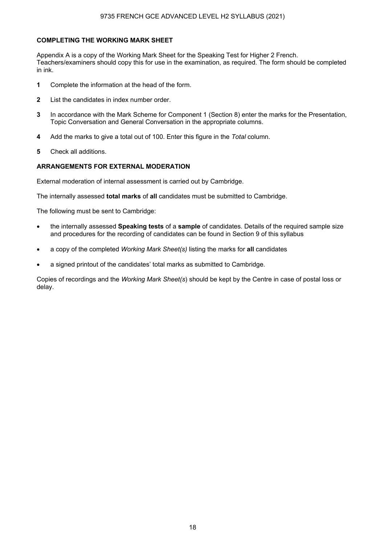## **COMPLETING THE WORKING MARK SHEET**

Appendix A is a copy of the Working Mark Sheet for the Speaking Test for Higher 2 French. Teachers/examiners should copy this for use in the examination, as required. The form should be completed in ink.

- **1** Complete the information at the head of the form.
- **2** List the candidates in index number order.
- **3** In accordance with the Mark Scheme for Component 1 (Section 8) enter the marks for the Presentation, Topic Conversation and General Conversation in the appropriate columns.
- **4** Add the marks to give a total out of 100. Enter this figure in the *Total* column.
- **5** Check all additions.

## **ARRANGEMENTS FOR EXTERNAL MODERATION**

External moderation of internal assessment is carried out by Cambridge.

The internally assessed **total marks** of **all** candidates must be submitted to Cambridge.

The following must be sent to Cambridge:

- the internally assessed **Speaking tests** of a **sample** of candidates. Details of the required sample size and procedures for the recording of candidates can be found in Section 9 of this syllabus
- a copy of the completed *Working Mark Sheet(s)* listing the marks for **all** candidates
- a signed printout of the candidates' total marks as submitted to Cambridge.

Copies of recordings and the *Working Mark Sheet(s*) should be kept by the Centre in case of postal loss or delay.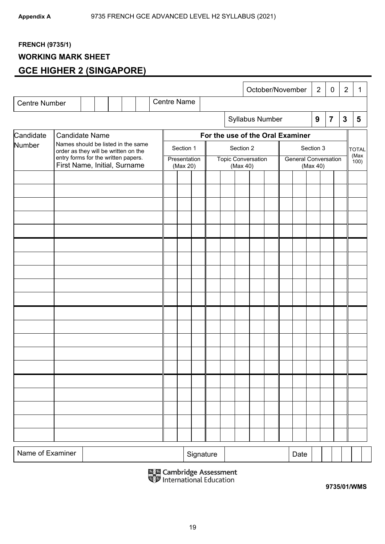## **FRENCH (9735/1)**

## **WORKING MARK SHEET**

## **GCE HIGHER 2 (SINGAPORE)**

|                      |                                                                            |                                                                     |  |  |  |  |                          |           |                                       |           |                 |  |                                         | October/November                 | $\overline{2}$   |                | $\mathbf 0$ | $\overline{2}$ | 1 |
|----------------------|----------------------------------------------------------------------------|---------------------------------------------------------------------|--|--|--|--|--------------------------|-----------|---------------------------------------|-----------|-----------------|--|-----------------------------------------|----------------------------------|------------------|----------------|-------------|----------------|---|
| <b>Centre Number</b> |                                                                            |                                                                     |  |  |  |  | <b>Centre Name</b>       |           |                                       |           |                 |  |                                         |                                  |                  |                |             |                |   |
|                      |                                                                            |                                                                     |  |  |  |  |                          |           |                                       |           | Syllabus Number |  |                                         |                                  | $\boldsymbol{9}$ | $\overline{7}$ |             | $\mathbf{3}$   | 5 |
| Candidate            | <b>Candidate Name</b>                                                      |                                                                     |  |  |  |  |                          |           |                                       |           |                 |  |                                         | For the use of the Oral Examiner |                  |                |             |                |   |
| Number               | Names should be listed in the same<br>order as they will be written on the |                                                                     |  |  |  |  | Section 1                |           |                                       | Section 2 |                 |  |                                         |                                  | Section 3        |                |             | <b>TOTAL</b>   |   |
|                      |                                                                            | entry forms for the written papers.<br>First Name, Initial, Surname |  |  |  |  | Presentation<br>(Max 20) |           | <b>Topic Conversation</b><br>(Max 40) |           |                 |  | <b>General Conversation</b><br>(Max 40) |                                  |                  |                |             | (Max<br>(100)  |   |
|                      |                                                                            |                                                                     |  |  |  |  |                          |           |                                       |           |                 |  |                                         |                                  |                  |                |             |                |   |
|                      |                                                                            |                                                                     |  |  |  |  |                          |           |                                       |           |                 |  |                                         |                                  |                  |                |             |                |   |
|                      |                                                                            |                                                                     |  |  |  |  |                          |           |                                       |           |                 |  |                                         |                                  |                  |                |             |                |   |
|                      |                                                                            |                                                                     |  |  |  |  |                          |           |                                       |           |                 |  |                                         |                                  |                  |                |             |                |   |
|                      |                                                                            |                                                                     |  |  |  |  |                          |           |                                       |           |                 |  |                                         |                                  |                  |                |             |                |   |
|                      |                                                                            |                                                                     |  |  |  |  |                          |           |                                       |           |                 |  |                                         |                                  |                  |                |             |                |   |
|                      |                                                                            |                                                                     |  |  |  |  |                          |           |                                       |           |                 |  |                                         |                                  |                  |                |             |                |   |
|                      |                                                                            |                                                                     |  |  |  |  |                          |           |                                       |           |                 |  |                                         |                                  |                  |                |             |                |   |
|                      |                                                                            |                                                                     |  |  |  |  |                          |           |                                       |           |                 |  |                                         |                                  |                  |                |             |                |   |
|                      |                                                                            |                                                                     |  |  |  |  |                          |           |                                       |           |                 |  |                                         |                                  |                  |                |             |                |   |
|                      |                                                                            |                                                                     |  |  |  |  |                          |           |                                       |           |                 |  |                                         |                                  |                  |                |             |                |   |
|                      |                                                                            |                                                                     |  |  |  |  |                          |           |                                       |           |                 |  |                                         |                                  |                  |                |             |                |   |
|                      |                                                                            |                                                                     |  |  |  |  |                          |           |                                       |           |                 |  |                                         |                                  |                  |                |             |                |   |
|                      |                                                                            |                                                                     |  |  |  |  |                          |           |                                       |           |                 |  |                                         |                                  |                  |                |             |                |   |
|                      |                                                                            |                                                                     |  |  |  |  |                          |           |                                       |           |                 |  |                                         |                                  |                  |                |             |                |   |
|                      |                                                                            |                                                                     |  |  |  |  |                          |           |                                       |           |                 |  |                                         |                                  |                  |                |             |                |   |
| Name of Examiner     |                                                                            |                                                                     |  |  |  |  |                          | Signature |                                       |           |                 |  |                                         | Date                             |                  |                |             |                |   |

鳳凰 Cambridge Assessment<br>喝罗 International Education

**9735/01/WMS**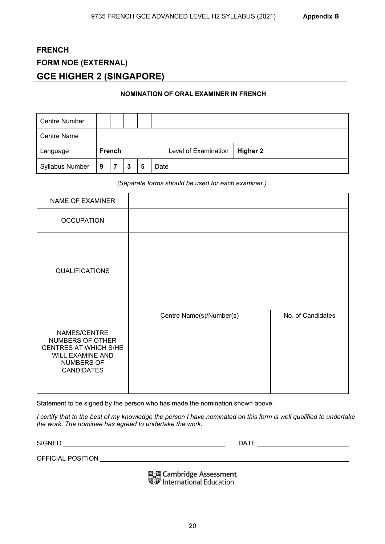## **FRENCH FORM NOE (EXTERNAL) GCE HIGHER 2 (SINGAPORE)**

## **NOMINATION OF ORAL EXAMINER IN FRENCH**

| <b>Centre Number</b>   |                     |               |  |  |  |                      |          |
|------------------------|---------------------|---------------|--|--|--|----------------------|----------|
| <b>Centre Name</b>     |                     |               |  |  |  |                      |          |
| Language               |                     | <b>French</b> |  |  |  | Level of Examination | Higher 2 |
| <b>Syllabus Number</b> | 9<br>Date<br>3<br>5 |               |  |  |  |                      |          |

## *(Separate forms should be used for each examiner.)*

| NAME OF EXAMINER                                                                                                        |                          |                   |
|-------------------------------------------------------------------------------------------------------------------------|--------------------------|-------------------|
| <b>OCCUPATION</b>                                                                                                       |                          |                   |
| <b>QUALIFICATIONS</b>                                                                                                   |                          |                   |
| NAMES/CENTRE<br>NUMBERS OF OTHER<br>CENTRES AT WHICH S/HE<br><b>WILL EXAMINE AND</b><br>NUMBERS OF<br><b>CANDIDATES</b> | Centre Name(s)/Number(s) | No. of Candidates |

Statement to be signed by the person who has made the nomination shown above.

*I certify that to the best of my knowledge the person I have nominated on this form is well qualified to undertake the work. The nominee has agreed to undertake the work.* 

SIGNED DATE

OFFICIAL POSITION

鳳凰 Cambridge Assessment<br>喝罗 International Education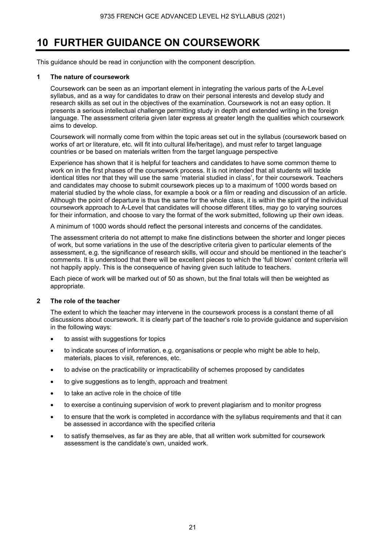## **10 FURTHER GUIDANCE ON COURSEWORK**

This guidance should be read in conjunction with the component description.

## **1 The nature of coursework**

 Coursework can be seen as an important element in integrating the various parts of the A-Level syllabus, and as a way for candidates to draw on their personal interests and develop study and research skills as set out in the objectives of the examination. Coursework is not an easy option. It presents a serious intellectual challenge permitting study in depth and extended writing in the foreign language. The assessment criteria given later express at greater length the qualities which coursework aims to develop.

 Coursework will normally come from within the topic areas set out in the syllabus (coursework based on works of art or literature, etc. will fit into cultural life/heritage), and must refer to target language countries or be based on materials written from the target language perspective

 Experience has shown that it is helpful for teachers and candidates to have some common theme to work on in the first phases of the coursework process. It is not intended that all students will tackle identical titles nor that they will use the same 'material studied in class', for their coursework. Teachers and candidates may choose to submit coursework pieces up to a maximum of 1000 words based on material studied by the whole class, for example a book or a film or reading and discussion of an article. Although the point of departure is thus the same for the whole class, it is within the spirit of the individual coursework approach to A-Level that candidates will choose different titles, may go to varying sources for their information, and choose to vary the format of the work submitted, following up their own ideas.

A minimum of 1000 words should reflect the personal interests and concerns of the candidates.

 The assessment criteria do not attempt to make fine distinctions between the shorter and longer pieces of work, but some variations in the use of the descriptive criteria given to particular elements of the assessment, e.g. the significance of research skills, will occur and should be mentioned in the teacher's comments. It is understood that there will be excellent pieces to which the 'full blown' content criteria will not happily apply. This is the consequence of having given such latitude to teachers.

Each piece of work will be marked out of 50 as shown, but the final totals will then be weighted as appropriate.

## **2 The role of the teacher**

The extent to which the teacher may intervene in the coursework process is a constant theme of all discussions about coursework. It is clearly part of the teacher's role to provide guidance and supervision in the following ways:

- to assist with suggestions for topics
- to indicate sources of information, e.g. organisations or people who might be able to help, materials, places to visit, references, etc.
- to advise on the practicability or impracticability of schemes proposed by candidates
- to give suggestions as to length, approach and treatment
- to take an active role in the choice of title
- to exercise a continuing supervision of work to prevent plagiarism and to monitor progress
- to ensure that the work is completed in accordance with the syllabus requirements and that it can be assessed in accordance with the specified criteria
- to satisfy themselves, as far as they are able, that all written work submitted for coursework assessment is the candidate's own, unaided work.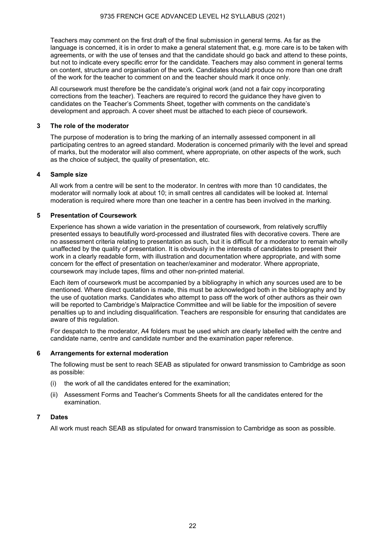Teachers may comment on the first draft of the final submission in general terms. As far as the language is concerned, it is in order to make a general statement that, e.g. more care is to be taken with agreements, or with the use of tenses and that the candidate should go back and attend to these points, but not to indicate every specific error for the candidate. Teachers may also comment in general terms on content, structure and organisation of the work. Candidates should produce no more than one draft of the work for the teacher to comment on and the teacher should mark it once only.

All coursework must therefore be the candidate's original work (and not a fair copy incorporating corrections from the teacher). Teachers are required to record the guidance they have given to candidates on the Teacher's Comments Sheet, together with comments on the candidate's development and approach. A cover sheet must be attached to each piece of coursework.

## **3 The role of the moderator**

The purpose of moderation is to bring the marking of an internally assessed component in all participating centres to an agreed standard. Moderation is concerned primarily with the level and spread of marks, but the moderator will also comment, where appropriate, on other aspects of the work, such as the choice of subject, the quality of presentation, etc.

## **4 Sample size**

All work from a centre will be sent to the moderator. In centres with more than 10 candidates, the moderator will normally look at about 10; in small centres all candidates will be looked at. Internal moderation is required where more than one teacher in a centre has been involved in the marking.

## **5 Presentation of Coursework**

Experience has shown a wide variation in the presentation of coursework, from relatively scruffily presented essays to beautifully word-processed and illustrated files with decorative covers. There are no assessment criteria relating to presentation as such, but it is difficult for a moderator to remain wholly unaffected by the quality of presentation. It is obviously in the interests of candidates to present their work in a clearly readable form, with illustration and documentation where appropriate, and with some concern for the effect of presentation on teacher/examiner and moderator. Where appropriate, coursework may include tapes, films and other non-printed material.

Each item of coursework must be accompanied by a bibliography in which any sources used are to be mentioned. Where direct quotation is made, this must be acknowledged both in the bibliography and by the use of quotation marks. Candidates who attempt to pass off the work of other authors as their own will be reported to Cambridge's Malpractice Committee and will be liable for the imposition of severe penalties up to and including disqualification. Teachers are responsible for ensuring that candidates are aware of this regulation.

For despatch to the moderator, A4 folders must be used which are clearly labelled with the centre and candidate name, centre and candidate number and the examination paper reference.

## **6 Arrangements for external moderation**

The following must be sent to reach SEAB as stipulated for onward transmission to Cambridge as soon as possible:

- (i) the work of all the candidates entered for the examination;
- (ii) Assessment Forms and Teacher's Comments Sheets for all the candidates entered for the examination.

## **7 Dates**

All work must reach SEAB as stipulated for onward transmission to Cambridge as soon as possible.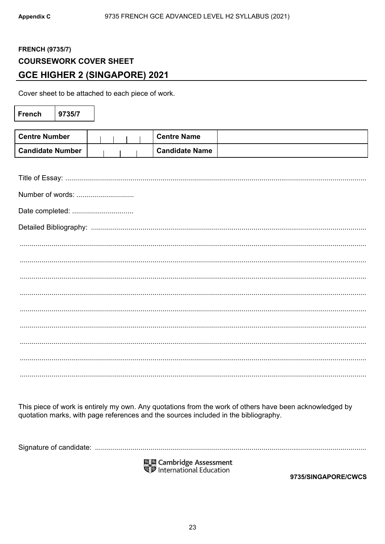## **FRENCH (9735/7) COURSEWORK COVER SHEET GCE HIGHER 2 (SINGAPORE) 2021**

Cover sheet to be attached to each piece of work.

| <b>French</b>           | 9735/7 |  |  |                       |  |  |
|-------------------------|--------|--|--|-----------------------|--|--|
|                         |        |  |  |                       |  |  |
| <b>Centre Number</b>    |        |  |  | <b>Centre Name</b>    |  |  |
| <b>Candidate Number</b> |        |  |  | <b>Candidate Name</b> |  |  |
|                         |        |  |  |                       |  |  |
|                         |        |  |  |                       |  |  |
| Number of words:        |        |  |  |                       |  |  |
| Date completed:         |        |  |  |                       |  |  |
|                         |        |  |  |                       |  |  |
|                         |        |  |  |                       |  |  |
|                         |        |  |  |                       |  |  |
|                         |        |  |  |                       |  |  |
|                         |        |  |  |                       |  |  |
|                         |        |  |  |                       |  |  |
|                         |        |  |  |                       |  |  |
|                         |        |  |  |                       |  |  |
|                         |        |  |  |                       |  |  |
|                         |        |  |  |                       |  |  |

This piece of work is entirely my own. Any quotations from the work of others have been acknowledged by quotation marks, with page references and the sources included in the bibliography.

鳳凰 Cambridge Assessment<br>喝<mark>萝</mark> International Education

9735/SINGAPORE/CWCS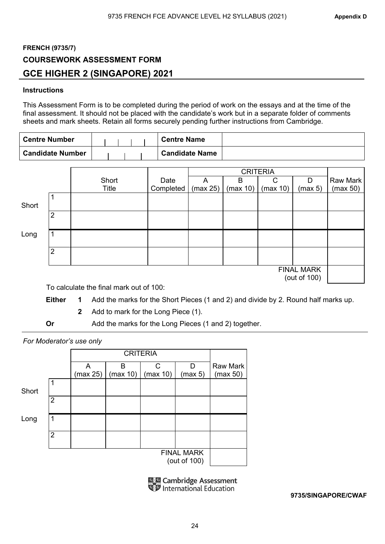## **FRENCH (9735/7) COURSEWORK ASSESSMENT FORM GCE HIGHER 2 (SINGAPORE) 2021**

## **Instructions**

This Assessment Form is to be completed during the period of work on the essays and at the time of the final assessment. It should not be placed with the candidate's work but in a separate folder of comments sheets and mark sheets. Retain all forms securely pending further instructions from Cambridge.

| <b>Centre Number</b>    |  |  | <b>Centre Name</b>    |  |
|-------------------------|--|--|-----------------------|--|
| <b>Candidate Number</b> |  |  | <b>Candidate Name</b> |  |

|       |                |       |           |          | <b>CRITERIA</b> |          |                                   |          |
|-------|----------------|-------|-----------|----------|-----------------|----------|-----------------------------------|----------|
|       |                | Short | Date      | А        | B               | C        | D                                 | Raw Mark |
|       |                | Title | Completed | (max 25) | (max 10)        | (max 10) | (max 5)                           | (max 50) |
| Short |                |       |           |          |                 |          |                                   |          |
|       | $\overline{2}$ |       |           |          |                 |          |                                   |          |
| Long  |                |       |           |          |                 |          |                                   |          |
|       | $\overline{2}$ |       |           |          |                 |          |                                   |          |
|       |                |       |           |          |                 |          | <b>FINAL MARK</b><br>(out of 100) |          |

To calculate the final mark out of 100:

**Either 1** Add the marks for the Short Pieces (1 and 2) and divide by 2. Round half marks up.

**2** Add to mark for the Long Piece (1).

**Or** Add the marks for the Long Pieces (1 and 2) together.

*For Moderator's use only* 

|       |                |          | <b>CRITERIA</b> |          |                                   |                 |
|-------|----------------|----------|-----------------|----------|-----------------------------------|-----------------|
|       |                | A        | B               | C        | D                                 | <b>Raw Mark</b> |
|       |                | (max 25) | (max 10)        | (max 10) | (max 5)                           | (max 50)        |
| Short | 1              |          |                 |          |                                   |                 |
|       | $\overline{2}$ |          |                 |          |                                   |                 |
| Long  | 1              |          |                 |          |                                   |                 |
|       | $\overline{2}$ |          |                 |          |                                   |                 |
|       |                |          |                 |          | <b>FINAL MARK</b><br>(out of 100) |                 |

| 陽盟 Cambridge Assessment<br>『罗 International Education |
|-------------------------------------------------------|
|                                                       |

**9735/SINGAPORE/CWAF**